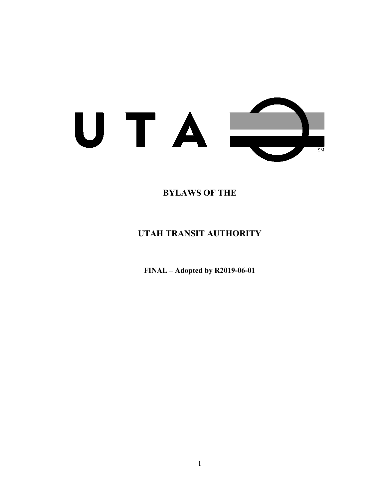

# **BYLAWS OF THE**

# **UTAH TRANSIT AUTHORITY**

**FINAL – Adopted by R2019-06-01**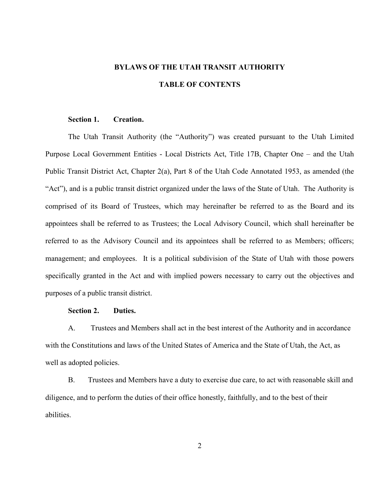# **BYLAWS OF THE UTAH TRANSIT AUTHORITY TABLE OF CONTENTS**

#### **Section 1. Creation.**

The Utah Transit Authority (the "Authority") was created pursuant to the Utah Limited Purpose Local Government Entities - Local Districts Act, Title 17B, Chapter One – and the Utah Public Transit District Act, Chapter 2(a), Part 8 of the Utah Code Annotated 1953, as amended (the "Act"), and is a public transit district organized under the laws of the State of Utah. The Authority is comprised of its Board of Trustees, which may hereinafter be referred to as the Board and its appointees shall be referred to as Trustees; the Local Advisory Council, which shall hereinafter be referred to as the Advisory Council and its appointees shall be referred to as Members; officers; management; and employees. It is a political subdivision of the State of Utah with those powers specifically granted in the Act and with implied powers necessary to carry out the objectives and purposes of a public transit district.

# **Section 2. Duties.**

A. Trustees and Members shall act in the best interest of the Authority and in accordance with the Constitutions and laws of the United States of America and the State of Utah, the Act, as well as adopted policies.

B. Trustees and Members have a duty to exercise due care, to act with reasonable skill and diligence, and to perform the duties of their office honestly, faithfully, and to the best of their abilities.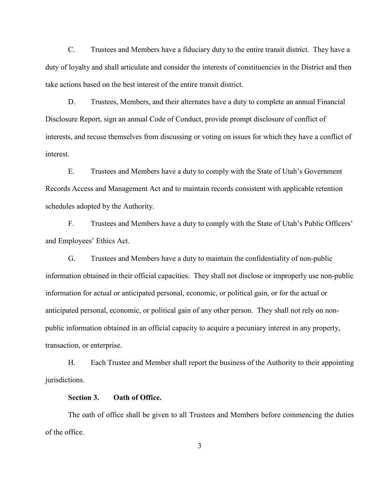C. Trustees and Members have a fiduciary duty to the entire transit district. They have a duty of loyalty and shall articulate and consider the interests of constituencies in the District and then take actions based on the best interest of the entire transit district.

D. Trustees, Members, and their alternates have a duty to complete an annual Financial Disclosure Report, sign an annual Code of Conduct, provide prompt disclosure of conflict of interests, and recuse themselves from discussing or voting on issues for which they have a conflict of interest.

E. Trustees and Members have a duty to comply with the State of Utah's Government Records Access and Management Act and to maintain records consistent with applicable retention schedules adopted by the Authority.

F. Trustees and Members have a duty to comply with the State of Utah's Public Officers' and Employees' Ethics Act.

G. Trustees and Members have a duty to maintain the confidentiality of non-public information obtained in their official capacities. They shall not disclose or improperly use non-public information for actual or anticipated personal, economic, or political gain, or for the actual or anticipated personal, economic, or political gain of any other person. They shall not rely on nonpublic information obtained in an official capacity to acquire a pecuniary interest in any property, transaction, or enterprise.

H. Each Trustee and Member shall report the business of the Authority to their appointing jurisdictions.

#### **Section 3. Oath of Office.**

The oath of office shall be given to all Trustees and Members before commencing the duties of the office.

3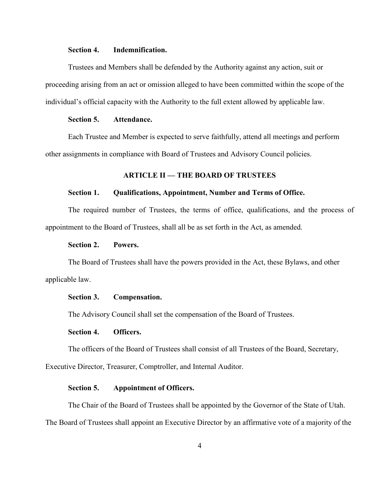# **Section 4. Indemnification.**

Trustees and Members shall be defended by the Authority against any action, suit or proceeding arising from an act or omission alleged to have been committed within the scope of the individual's official capacity with the Authority to the full extent allowed by applicable law.

# **Section 5. Attendance.**

Each Trustee and Member is expected to serve faithfully, attend all meetings and perform other assignments in compliance with Board of Trustees and Advisory Council policies.

### **ARTICLE II — THE BOARD OF TRUSTEES**

# **Section 1. Qualifications, Appointment, Number and Terms of Office.**

The required number of Trustees, the terms of office, qualifications, and the process of appointment to the Board of Trustees, shall all be as set forth in the Act, as amended.

#### **Section 2. Powers.**

The Board of Trustees shall have the powers provided in the Act, these Bylaws, and other applicable law.

#### **Section 3. Compensation.**

The Advisory Council shall set the compensation of the Board of Trustees.

#### **Section 4. Officers.**

The officers of the Board of Trustees shall consist of all Trustees of the Board, Secretary,

Executive Director, Treasurer, Comptroller, and Internal Auditor.

# **Section 5. Appointment of Officers.**

The Chair of the Board of Trustees shall be appointed by the Governor of the State of Utah. The Board of Trustees shall appoint an Executive Director by an affirmative vote of a majority of the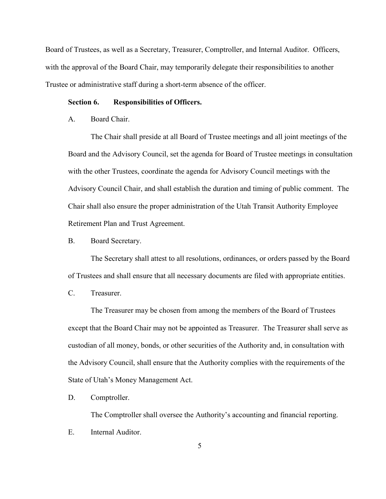Board of Trustees, as well as a Secretary, Treasurer, Comptroller, and Internal Auditor. Officers, with the approval of the Board Chair, may temporarily delegate their responsibilities to another Trustee or administrative staff during a short-term absence of the officer.

#### **Section 6. Responsibilities of Officers.**

A. Board Chair.

The Chair shall preside at all Board of Trustee meetings and all joint meetings of the Board and the Advisory Council, set the agenda for Board of Trustee meetings in consultation with the other Trustees, coordinate the agenda for Advisory Council meetings with the Advisory Council Chair, and shall establish the duration and timing of public comment. The Chair shall also ensure the proper administration of the Utah Transit Authority Employee Retirement Plan and Trust Agreement.

B. Board Secretary.

The Secretary shall attest to all resolutions, ordinances, or orders passed by the Board of Trustees and shall ensure that all necessary documents are filed with appropriate entities.

C. Treasurer.

The Treasurer may be chosen from among the members of the Board of Trustees except that the Board Chair may not be appointed as Treasurer. The Treasurer shall serve as custodian of all money, bonds, or other securities of the Authority and, in consultation with the Advisory Council, shall ensure that the Authority complies with the requirements of the State of Utah's Money Management Act.

D. Comptroller.

The Comptroller shall oversee the Authority's accounting and financial reporting.

E. Internal Auditor.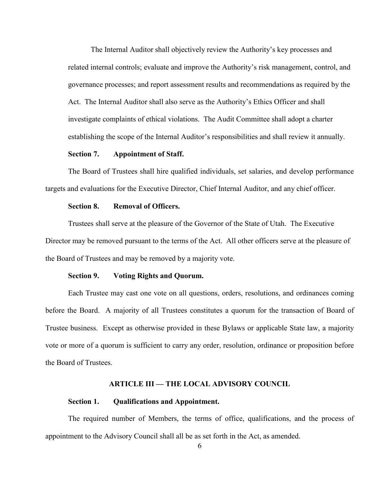The Internal Auditor shall objectively review the Authority's key processes and related internal controls; evaluate and improve the Authority's risk management, control, and governance processes; and report assessment results and recommendations as required by the Act. The Internal Auditor shall also serve as the Authority's Ethics Officer and shall investigate complaints of ethical violations. The Audit Committee shall adopt a charter establishing the scope of the Internal Auditor's responsibilities and shall review it annually.

#### **Section 7. Appointment of Staff.**

The Board of Trustees shall hire qualified individuals, set salaries, and develop performance targets and evaluations for the Executive Director, Chief Internal Auditor, and any chief officer.

#### **Section 8. Removal of Officers.**

Trustees shall serve at the pleasure of the Governor of the State of Utah. The Executive Director may be removed pursuant to the terms of the Act. All other officers serve at the pleasure of the Board of Trustees and may be removed by a majority vote.

#### **Section 9. Voting Rights and Quorum.**

Each Trustee may cast one vote on all questions, orders, resolutions, and ordinances coming before the Board. A majority of all Trustees constitutes a quorum for the transaction of Board of Trustee business. Except as otherwise provided in these Bylaws or applicable State law, a majority vote or more of a quorum is sufficient to carry any order, resolution, ordinance or proposition before the Board of Trustees.

#### **ARTICLE III — THE LOCAL ADVISORY COUNCIL**

### **Section 1. Qualifications and Appointment.**

The required number of Members, the terms of office, qualifications, and the process of appointment to the Advisory Council shall all be as set forth in the Act, as amended.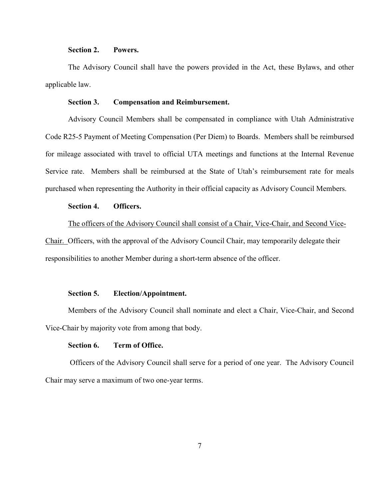# **Section 2. Powers.**

The Advisory Council shall have the powers provided in the Act, these Bylaws, and other applicable law.

## **Section 3. Compensation and Reimbursement.**

Advisory Council Members shall be compensated in compliance with Utah Administrative Code R25-5 Payment of Meeting Compensation (Per Diem) to Boards. Members shall be reimbursed for mileage associated with travel to official UTA meetings and functions at the Internal Revenue Service rate. Members shall be reimbursed at the State of Utah's reimbursement rate for meals purchased when representing the Authority in their official capacity as Advisory Council Members.

# **Section 4. Officers.**

The officers of the Advisory Council shall consist of a Chair, Vice-Chair, and Second Vice-Chair. Officers, with the approval of the Advisory Council Chair, may temporarily delegate their

responsibilities to another Member during a short-term absence of the officer.

#### **Section 5. Election/Appointment.**

Members of the Advisory Council shall nominate and elect a Chair, Vice-Chair, and Second Vice-Chair by majority vote from among that body.

#### **Section 6. Term of Office.**

Officers of the Advisory Council shall serve for a period of one year. The Advisory Council Chair may serve a maximum of two one-year terms.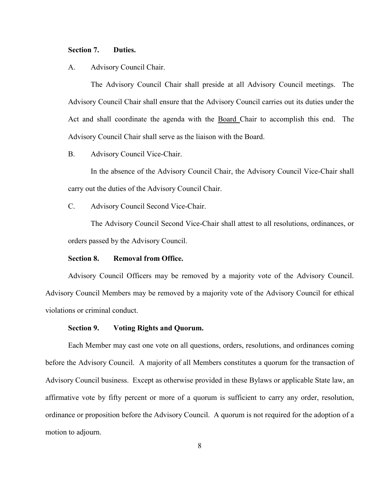#### **Section 7. Duties.**

## A. Advisory Council Chair.

The Advisory Council Chair shall preside at all Advisory Council meetings. The Advisory Council Chair shall ensure that the Advisory Council carries out its duties under the Act and shall coordinate the agenda with the Board Chair to accomplish this end. The Advisory Council Chair shall serve as the liaison with the Board.

# B. Advisory Council Vice-Chair.

In the absence of the Advisory Council Chair, the Advisory Council Vice-Chair shall carry out the duties of the Advisory Council Chair.

C. Advisory Council Second Vice-Chair.

The Advisory Council Second Vice-Chair shall attest to all resolutions, ordinances, or orders passed by the Advisory Council.

# **Section 8. Removal from Office.**

Advisory Council Officers may be removed by a majority vote of the Advisory Council. Advisory Council Members may be removed by a majority vote of the Advisory Council for ethical violations or criminal conduct.

#### **Section 9. Voting Rights and Quorum.**

Each Member may cast one vote on all questions, orders, resolutions, and ordinances coming before the Advisory Council. A majority of all Members constitutes a quorum for the transaction of Advisory Council business. Except as otherwise provided in these Bylaws or applicable State law, an affirmative vote by fifty percent or more of a quorum is sufficient to carry any order, resolution, ordinance or proposition before the Advisory Council. A quorum is not required for the adoption of a motion to adjourn.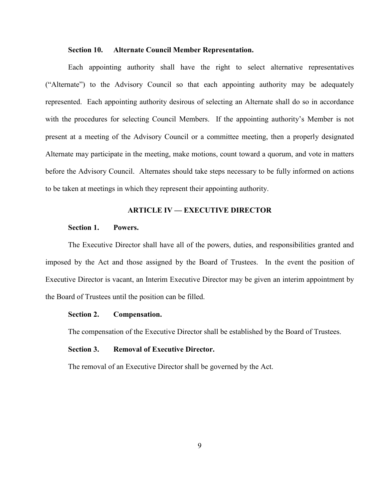# **Section 10. Alternate Council Member Representation.**

Each appointing authority shall have the right to select alternative representatives ("Alternate") to the Advisory Council so that each appointing authority may be adequately represented. Each appointing authority desirous of selecting an Alternate shall do so in accordance with the procedures for selecting Council Members. If the appointing authority's Member is not present at a meeting of the Advisory Council or a committee meeting, then a properly designated Alternate may participate in the meeting, make motions, count toward a quorum, and vote in matters before the Advisory Council. Alternates should take steps necessary to be fully informed on actions to be taken at meetings in which they represent their appointing authority.

#### **ARTICLE IV — EXECUTIVE DIRECTOR**

# **Section 1. Powers.**

The Executive Director shall have all of the powers, duties, and responsibilities granted and imposed by the Act and those assigned by the Board of Trustees. In the event the position of Executive Director is vacant, an Interim Executive Director may be given an interim appointment by the Board of Trustees until the position can be filled.

#### **Section 2. Compensation.**

The compensation of the Executive Director shall be established by the Board of Trustees.

# **Section 3. Removal of Executive Director.**

The removal of an Executive Director shall be governed by the Act.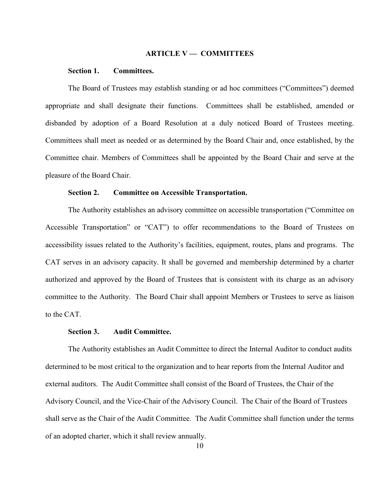#### **ARTICLE V — COMMITTEES**

# **Section 1. Committees.**

The Board of Trustees may establish standing or ad hoc committees ("Committees") deemed appropriate and shall designate their functions. Committees shall be established, amended or disbanded by adoption of a Board Resolution at a duly noticed Board of Trustees meeting. Committees shall meet as needed or as determined by the Board Chair and, once established, by the Committee chair. Members of Committees shall be appointed by the Board Chair and serve at the pleasure of the Board Chair.

#### **Section 2. Committee on Accessible Transportation.**

The Authority establishes an advisory committee on accessible transportation ("Committee on Accessible Transportation" or "CAT") to offer recommendations to the Board of Trustees on accessibility issues related to the Authority's facilities, equipment, routes, plans and programs. The CAT serves in an advisory capacity. It shall be governed and membership determined by a charter authorized and approved by the Board of Trustees that is consistent with its charge as an advisory committee to the Authority. The Board Chair shall appoint Members or Trustees to serve as liaison to the CAT.

#### **Section 3. Audit Committee.**

The Authority establishes an Audit Committee to direct the Internal Auditor to conduct audits determined to be most critical to the organization and to hear reports from the Internal Auditor and external auditors. The Audit Committee shall consist of the Board of Trustees, the Chair of the Advisory Council, and the Vice-Chair of the Advisory Council. The Chair of the Board of Trustees shall serve as the Chair of the Audit Committee. The Audit Committee shall function under the terms of an adopted charter, which it shall review annually.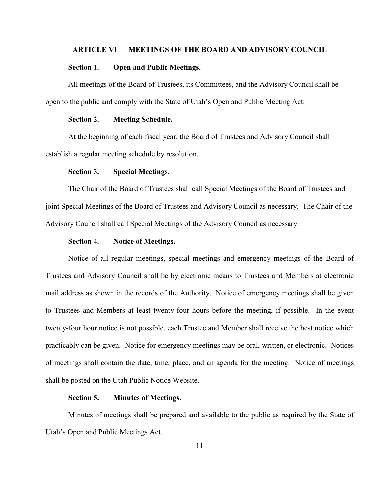# **ARTICLE VI** — **MEETINGS OF THE BOARD AND ADVISORY COUNCIL**

#### **Section 1. Open and Public Meetings.**

All meetings of the Board of Trustees, its Committees, and the Advisory Council shall be open to the public and comply with the State of Utah's Open and Public Meeting Act.

# **Section 2. Meeting Schedule.**

At the beginning of each fiscal year, the Board of Trustees and Advisory Council shall establish a regular meeting schedule by resolution.

# **Section 3. Special Meetings.**

The Chair of the Board of Trustees shall call Special Meetings of the Board of Trustees and joint Special Meetings of the Board of Trustees and Advisory Council as necessary. The Chair of the Advisory Council shall call Special Meetings of the Advisory Council as necessary.

# **Section 4. Notice of Meetings.**

Notice of all regular meetings, special meetings and emergency meetings of the Board of Trustees and Advisory Council shall be by electronic means to Trustees and Members at electronic mail address as shown in the records of the Authority. Notice of emergency meetings shall be given to Trustees and Members at least twenty-four hours before the meeting, if possible. In the event twenty-four hour notice is not possible, each Trustee and Member shall receive the best notice which practicably can be given. Notice for emergency meetings may be oral, written, or electronic. Notices of meetings shall contain the date, time, place, and an agenda for the meeting. Notice of meetings shall be posted on the Utah Public Notice Website.

#### **Section 5. Minutes of Meetings.**

Minutes of meetings shall be prepared and available to the public as required by the State of Utah's Open and Public Meetings Act.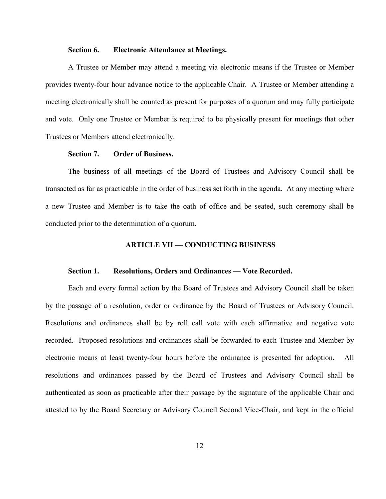#### **Section 6. Electronic Attendance at Meetings.**

A Trustee or Member may attend a meeting via electronic means if the Trustee or Member provides twenty-four hour advance notice to the applicable Chair. A Trustee or Member attending a meeting electronically shall be counted as present for purposes of a quorum and may fully participate and vote. Only one Trustee or Member is required to be physically present for meetings that other Trustees or Members attend electronically.

# **Section 7. Order of Business.**

The business of all meetings of the Board of Trustees and Advisory Council shall be transacted as far as practicable in the order of business set forth in the agenda. At any meeting where a new Trustee and Member is to take the oath of office and be seated, such ceremony shall be conducted prior to the determination of a quorum.

#### **ARTICLE VII — CONDUCTING BUSINESS**

#### **Section 1. Resolutions, Orders and Ordinances — Vote Recorded.**

Each and every formal action by the Board of Trustees and Advisory Council shall be taken by the passage of a resolution, order or ordinance by the Board of Trustees or Advisory Council. Resolutions and ordinances shall be by roll call vote with each affirmative and negative vote recorded. Proposed resolutions and ordinances shall be forwarded to each Trustee and Member by electronic means at least twenty-four hours before the ordinance is presented for adoption**.** All resolutions and ordinances passed by the Board of Trustees and Advisory Council shall be authenticated as soon as practicable after their passage by the signature of the applicable Chair and attested to by the Board Secretary or Advisory Council Second Vice-Chair, and kept in the official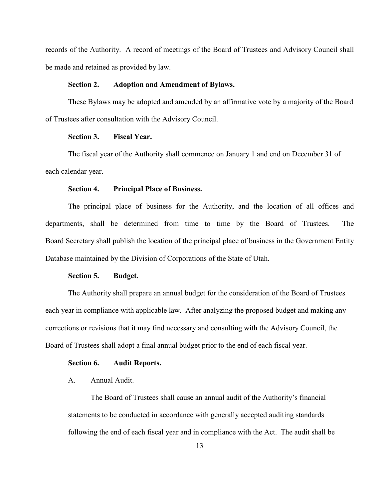records of the Authority. A record of meetings of the Board of Trustees and Advisory Council shall be made and retained as provided by law.

#### **Section 2. Adoption and Amendment of Bylaws.**

These Bylaws may be adopted and amended by an affirmative vote by a majority of the Board of Trustees after consultation with the Advisory Council.

## **Section 3. Fiscal Year.**

The fiscal year of the Authority shall commence on January 1 and end on December 31 of each calendar year.

#### **Section 4. Principal Place of Business.**

The principal place of business for the Authority, and the location of all offices and departments, shall be determined from time to time by the Board of Trustees. The Board Secretary shall publish the location of the principal place of business in the Government Entity Database maintained by the Division of Corporations of the State of Utah.

#### **Section 5. Budget.**

The Authority shall prepare an annual budget for the consideration of the Board of Trustees each year in compliance with applicable law. After analyzing the proposed budget and making any corrections or revisions that it may find necessary and consulting with the Advisory Council, the Board of Trustees shall adopt a final annual budget prior to the end of each fiscal year.

#### **Section 6. Audit Reports.**

# A. Annual Audit.

The Board of Trustees shall cause an annual audit of the Authority's financial statements to be conducted in accordance with generally accepted auditing standards following the end of each fiscal year and in compliance with the Act. The audit shall be